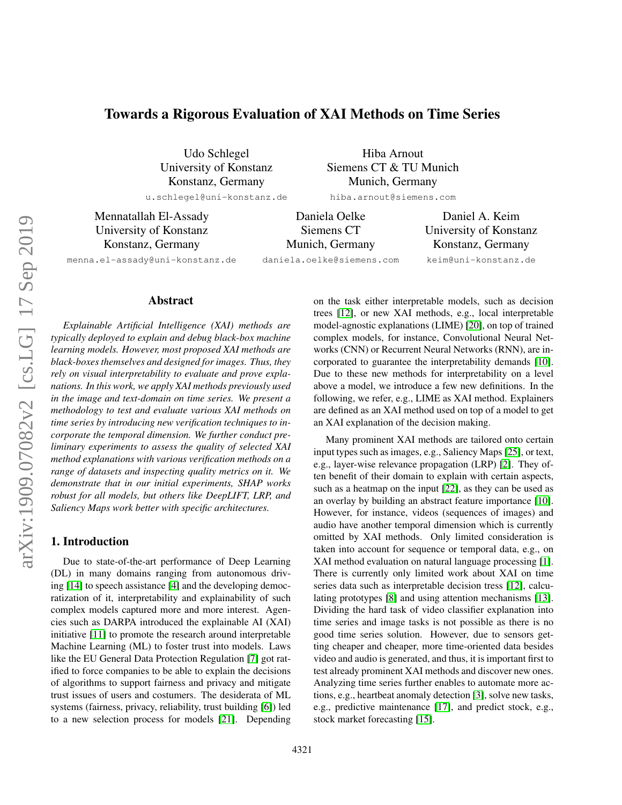Udo Schlegel University of Konstanz Konstanz, Germany

u.schlegel@uni-konstanz.de

Mennatallah El-Assady University of Konstanz Konstanz, Germany

Hiba Arnout Siemens CT & TU Munich Munich, Germany

hiba.arnout@siemens.com

Daniela Oelke Siemens CT Munich, Germany daniela.oelke@siemens.com

Daniel A. Keim University of Konstanz Konstanz, Germany keim@uni-konstanz.de

menna.el-assady@uni-konstanz.de

### Abstract

*Explainable Artificial Intelligence (XAI) methods are typically deployed to explain and debug black-box machine learning models. However, most proposed XAI methods are black-boxes themselves and designed for images. Thus, they rely on visual interpretability to evaluate and prove explanations. In this work, we apply XAI methods previously used in the image and text-domain on time series. We present a methodology to test and evaluate various XAI methods on time series by introducing new verification techniques to incorporate the temporal dimension. We further conduct preliminary experiments to assess the quality of selected XAI method explanations with various verification methods on a range of datasets and inspecting quality metrics on it. We demonstrate that in our initial experiments, SHAP works robust for all models, but others like DeepLIFT, LRP, and Saliency Maps work better with specific architectures.*

# 1. Introduction

Due to state-of-the-art performance of Deep Learning (DL) in many domains ranging from autonomous driving [\[14\]](#page-4-0) to speech assistance [\[4\]](#page-4-1) and the developing democratization of it, interpretability and explainability of such complex models captured more and more interest. Agencies such as DARPA introduced the explainable AI (XAI) initiative [\[11\]](#page-4-2) to promote the research around interpretable Machine Learning (ML) to foster trust into models. Laws like the EU General Data Protection Regulation [\[7\]](#page-4-3) got ratified to force companies to be able to explain the decisions of algorithms to support fairness and privacy and mitigate trust issues of users and costumers. The desiderata of ML systems (fairness, privacy, reliability, trust building [\[6\]](#page-4-4)) led to a new selection process for models [\[21\]](#page-4-5). Depending on the task either interpretable models, such as decision trees [\[12\]](#page-4-6), or new XAI methods, e.g., local interpretable model-agnostic explanations (LIME) [\[20\]](#page-4-7), on top of trained complex models, for instance, Convolutional Neural Networks (CNN) or Recurrent Neural Networks (RNN), are incorporated to guarantee the interpretability demands [\[10\]](#page-4-8). Due to these new methods for interpretability on a level above a model, we introduce a few new definitions. In the following, we refer, e.g., LIME as XAI method. Explainers are defined as an XAI method used on top of a model to get an XAI explanation of the decision making.

Many prominent XAI methods are tailored onto certain input types such as images, e.g., Saliency Maps [\[25\]](#page-4-9), or text, e.g., layer-wise relevance propagation (LRP) [\[2\]](#page-4-10). They often benefit of their domain to explain with certain aspects, such as a heatmap on the input [\[22\]](#page-4-11), as they can be used as an overlay by building an abstract feature importance [\[10\]](#page-4-8). However, for instance, videos (sequences of images) and audio have another temporal dimension which is currently omitted by XAI methods. Only limited consideration is taken into account for sequence or temporal data, e.g., on XAI method evaluation on natural language processing [\[1\]](#page-4-12). There is currently only limited work about XAI on time series data such as interpretable decision tress [\[12\]](#page-4-6), calculating prototypes [\[8\]](#page-4-13) and using attention mechanisms [\[13\]](#page-4-14). Dividing the hard task of video classifier explanation into time series and image tasks is not possible as there is no good time series solution. However, due to sensors getting cheaper and cheaper, more time-oriented data besides video and audio is generated, and thus, it is important first to test already prominent XAI methods and discover new ones. Analyzing time series further enables to automate more actions, e.g., heartbeat anomaly detection [\[3\]](#page-4-15), solve new tasks, e.g., predictive maintenance [\[17\]](#page-4-16), and predict stock, e.g., stock market forecasting [\[15\]](#page-4-17).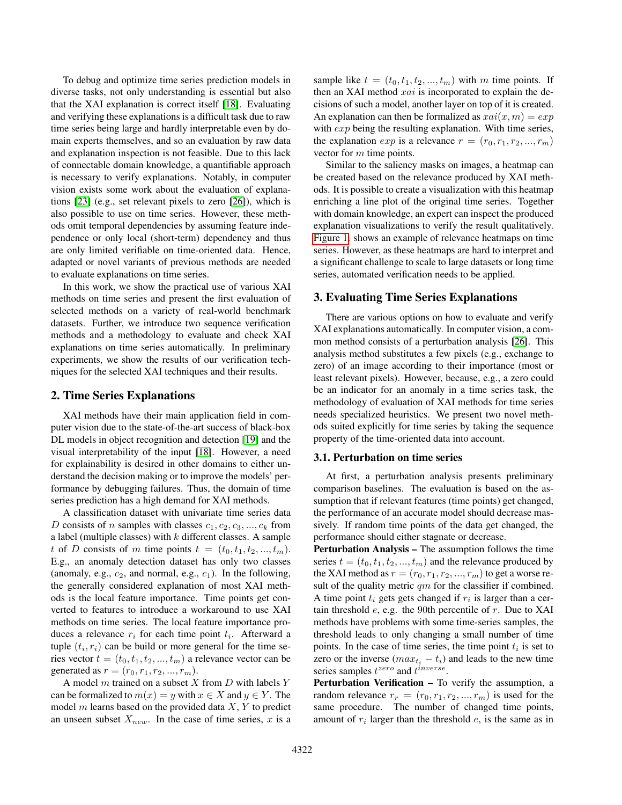To debug and optimize time series prediction models in diverse tasks, not only understanding is essential but also that the XAI explanation is correct itself [\[18\]](#page-4-18). Evaluating and verifying these explanations is a difficult task due to raw time series being large and hardly interpretable even by domain experts themselves, and so an evaluation by raw data and explanation inspection is not feasible. Due to this lack of connectable domain knowledge, a quantifiable approach is necessary to verify explanations. Notably, in computer vision exists some work about the evaluation of explanations [\[23\]](#page-4-19) (e.g., set relevant pixels to zero [\[26\]](#page-4-20)), which is also possible to use on time series. However, these methods omit temporal dependencies by assuming feature independence or only local (short-term) dependency and thus are only limited verifiable on time-oriented data. Hence, adapted or novel variants of previous methods are needed to evaluate explanations on time series.

In this work, we show the practical use of various XAI methods on time series and present the first evaluation of selected methods on a variety of real-world benchmark datasets. Further, we introduce two sequence verification methods and a methodology to evaluate and check XAI explanations on time series automatically. In preliminary experiments, we show the results of our verification techniques for the selected XAI techniques and their results.

### 2. Time Series Explanations

XAI methods have their main application field in computer vision due to the state-of-the-art success of black-box DL models in object recognition and detection [\[19\]](#page-4-21) and the visual interpretability of the input [\[18\]](#page-4-18). However, a need for explainability is desired in other domains to either understand the decision making or to improve the models' performance by debugging failures. Thus, the domain of time series prediction has a high demand for XAI methods.

A classification dataset with univariate time series data D consists of n samples with classes  $c_1, c_2, c_3, ..., c_k$  from a label (multiple classes) with  $k$  different classes. A sample t of D consists of m time points  $t = (t_0, t_1, t_2, ..., t_m)$ . E.g., an anomaly detection dataset has only two classes (anomaly, e.g.,  $c_2$ , and normal, e.g.,  $c_1$ ). In the following, the generally considered explanation of most XAI methods is the local feature importance. Time points get converted to features to introduce a workaround to use XAI methods on time series. The local feature importance produces a relevance  $r_i$  for each time point  $t_i$ . Afterward a tuple  $(t_i, r_i)$  can be build or more general for the time series vector  $t = (t_0, t_1, t_2, ..., t_m)$  a relevance vector can be generated as  $r = (r_0, r_1, r_2, ..., r_m)$ .

A model  $m$  trained on a subset  $X$  from  $D$  with labels  $Y$ can be formalized to  $m(x) = y$  with  $x \in X$  and  $y \in Y$ . The model  $m$  learns based on the provided data  $X, Y$  to predict an unseen subset  $X_{new}$ . In the case of time series, x is a

sample like  $t = (t_0, t_1, t_2, ..., t_m)$  with m time points. If then an XAI method  $xai$  is incorporated to explain the decisions of such a model, another layer on top of it is created. An explanation can then be formalized as  $xai(x, m) = exp$ with  $exp$  being the resulting explanation. With time series, the explanation  $exp$  is a relevance  $r = (r_0, r_1, r_2, ..., r_m)$ vector for m time points.

Similar to the saliency masks on images, a heatmap can be created based on the relevance produced by XAI methods. It is possible to create a visualization with this heatmap enriching a line plot of the original time series. Together with domain knowledge, an expert can inspect the produced explanation visualizations to verify the result qualitatively. [Figure 1.](#page-2-0) shows an example of relevance heatmaps on time series. However, as these heatmaps are hard to interpret and a significant challenge to scale to large datasets or long time series, automated verification needs to be applied.

## 3. Evaluating Time Series Explanations

There are various options on how to evaluate and verify XAI explanations automatically. In computer vision, a common method consists of a perturbation analysis [\[26\]](#page-4-20). This analysis method substitutes a few pixels (e.g., exchange to zero) of an image according to their importance (most or least relevant pixels). However, because, e.g., a zero could be an indicator for an anomaly in a time series task, the methodology of evaluation of XAI methods for time series needs specialized heuristics. We present two novel methods suited explicitly for time series by taking the sequence property of the time-oriented data into account.

## 3.1. Perturbation on time series

At first, a perturbation analysis presents preliminary comparison baselines. The evaluation is based on the assumption that if relevant features (time points) get changed, the performance of an accurate model should decrease massively. If random time points of the data get changed, the performance should either stagnate or decrease.

Perturbation Analysis – The assumption follows the time series  $t = (t_0, t_1, t_2, ..., t_m)$  and the relevance produced by the XAI method as  $r = (r_0, r_1, r_2, ..., r_m)$  to get a worse result of the quality metric  $qm$  for the classifier if combined. A time point  $t_i$  gets gets changed if  $r_i$  is larger than a certain threshold  $e$ , e.g. the 90th percentile of  $r$ . Due to XAI methods have problems with some time-series samples, the threshold leads to only changing a small number of time points. In the case of time series, the time point  $t_i$  is set to zero or the inverse  $(max_{t_i} - t_i)$  and leads to the new time series samples  $t^{zero}$  and  $t^{inverse}$ .

Perturbation Verification - To verify the assumption, a random relevance  $r_r = (r_0, r_1, r_2, ..., r_m)$  is used for the same procedure. The number of changed time points, amount of  $r_i$  larger than the threshold  $e$ , is the same as in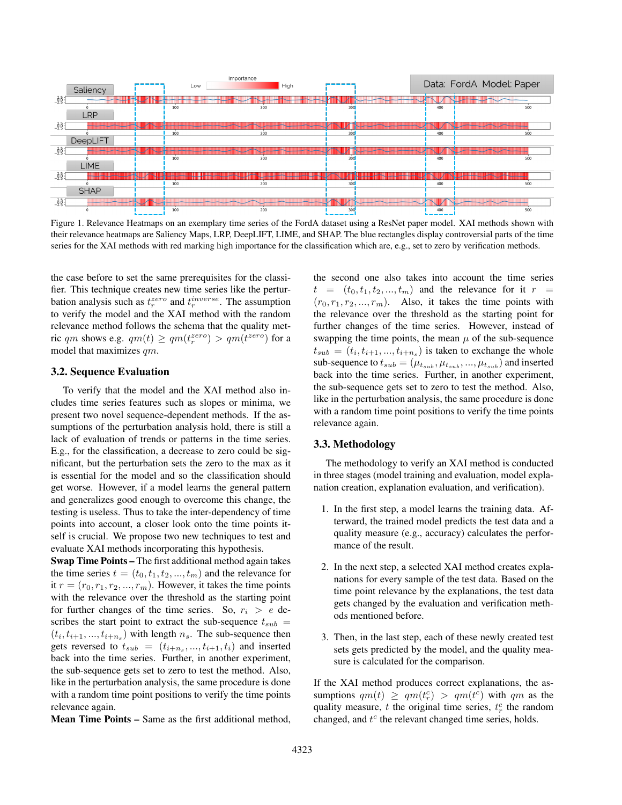

<span id="page-2-0"></span>Figure 1. Relevance Heatmaps on an exemplary time series of the FordA dataset using a ResNet paper model. XAI methods shown with their relevance heatmaps are Saliency Maps, LRP, DeepLIFT, LIME, and SHAP. The blue rectangles display controversial parts of the time series for the XAI methods with red marking high importance for the classification which are, e.g., set to zero by verification methods.

the case before to set the same prerequisites for the classifier. This technique creates new time series like the perturbation analysis such as  $t_r^{zero}$  and  $t_r^{inverse}$ . The assumption to verify the model and the XAI method with the random relevance method follows the schema that the quality metric qm shows e.g.  $qm(t) \geq qm(t_r^{zero}) > qm(t^{zero})$  for a model that maximizes qm.

## 3.2. Sequence Evaluation

To verify that the model and the XAI method also includes time series features such as slopes or minima, we present two novel sequence-dependent methods. If the assumptions of the perturbation analysis hold, there is still a lack of evaluation of trends or patterns in the time series. E.g., for the classification, a decrease to zero could be significant, but the perturbation sets the zero to the max as it is essential for the model and so the classification should get worse. However, if a model learns the general pattern and generalizes good enough to overcome this change, the testing is useless. Thus to take the inter-dependency of time points into account, a closer look onto the time points itself is crucial. We propose two new techniques to test and evaluate XAI methods incorporating this hypothesis.

Swap Time Points – The first additional method again takes the time series  $t = (t_0, t_1, t_2, ..., t_m)$  and the relevance for it  $r = (r_0, r_1, r_2, ..., r_m)$ . However, it takes the time points with the relevance over the threshold as the starting point for further changes of the time series. So,  $r_i > e$  describes the start point to extract the sub-sequence  $t_{sub}$  =  $(t_i, t_{i+1}, ..., t_{i+n_s})$  with length  $n_s$ . The sub-sequence then gets reversed to  $t_{sub} = (t_{i+n_s},...,t_{i+1},t_i)$  and inserted back into the time series. Further, in another experiment, the sub-sequence gets set to zero to test the method. Also, like in the perturbation analysis, the same procedure is done with a random time point positions to verify the time points relevance again.

Mean Time Points – Same as the first additional method,

the second one also takes into account the time series  $t = (t_0, t_1, t_2, ..., t_m)$  and the relevance for it  $r =$  $(r_0, r_1, r_2, ..., r_m)$ . Also, it takes the time points with the relevance over the threshold as the starting point for further changes of the time series. However, instead of swapping the time points, the mean  $\mu$  of the sub-sequence  $t_{sub} = (t_i, t_{i+1}, ..., t_{i+n_s})$  is taken to exchange the whole sub-sequence to  $t_{sub} = (\mu_{t_{sub}}, \mu_{t_{sub}}, ..., \mu_{t_{sub}})$  and inserted back into the time series. Further, in another experiment, the sub-sequence gets set to zero to test the method. Also, like in the perturbation analysis, the same procedure is done with a random time point positions to verify the time points relevance again.

### 3.3. Methodology

The methodology to verify an XAI method is conducted in three stages (model training and evaluation, model explanation creation, explanation evaluation, and verification).

- 1. In the first step, a model learns the training data. Afterward, the trained model predicts the test data and a quality measure (e.g., accuracy) calculates the performance of the result.
- 2. In the next step, a selected XAI method creates explanations for every sample of the test data. Based on the time point relevance by the explanations, the test data gets changed by the evaluation and verification methods mentioned before.
- 3. Then, in the last step, each of these newly created test sets gets predicted by the model, and the quality measure is calculated for the comparison.

If the XAI method produces correct explanations, the assumptions  $qm(t) \geq qm(t_r^c) > qm(t^c)$  with qm as the quality measure, t the original time series,  $t_r^c$  the random changed, and  $t^c$  the relevant changed time series, holds.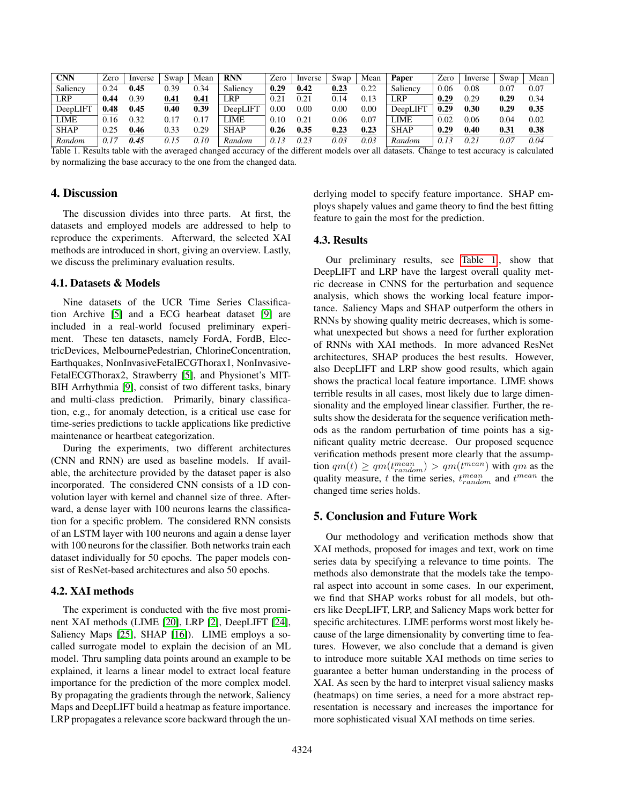| <b>CNN</b>  | Zero | Inverse | Swap | Mean | <b>RNN</b>      | Zero     | Inverse | Swap     | Mean | Paper       | Zero | Inverse  | Swap | Mean |
|-------------|------|---------|------|------|-----------------|----------|---------|----------|------|-------------|------|----------|------|------|
| Saliency    | 0.24 | 0.45    | 0.39 | 0.34 | Saliency        | 0.29     | 0.42    | 0.23     | 0.22 | Saliency    | 0.06 | $0.08\,$ | 0.07 | 0.07 |
| LRP         | 0.44 | 0.39    | 0.41 | 0.41 | LRP             | 0.21     | 0.21    | 0.14     | 0.13 | ∟RP         | 0.29 | 0.29     | 0.29 | 0.34 |
| DeepLIFT    | 0.48 | 0.45    | 0.40 | 0.39 | <b>DeepLIFT</b> | $0.00\,$ | 0.00    | $0.00\,$ | 0.00 | DeepLIFT    | 0.29 | 0.30     | 0.29 | 0.35 |
| LIME        | 0.16 | 0.32    | 0.17 | 0.17 | LIME            | 0.10     | 0.21    | 0.06     | 0.07 | _IME        | 0.02 | 0.06     | 0.04 | 0.02 |
| <b>SHAP</b> | 0.25 | 0.46    | 0.33 | 0.29 | <b>SHAP</b>     | 0.26     | 0.35    | 0.23     | 0.23 | <b>SHAP</b> | 0.29 | 0.40     | 0.31 | 0.38 |
| Random      | 0.17 | 0.45    | 0.15 | 0.10 | Random          | 0.13     | 0.23    | 0.03     | 0.03 | Random      | 0.13 | 0.2      | 0.07 | 0.04 |

<span id="page-3-0"></span>Table 1. Results table with the averaged changed accuracy of the different models over all datasets. Change to test accuracy is calculated by normalizing the base accuracy to the one from the changed data.

# 4. Discussion

The discussion divides into three parts. At first, the datasets and employed models are addressed to help to reproduce the experiments. Afterward, the selected XAI methods are introduced in short, giving an overview. Lastly, we discuss the preliminary evaluation results.

### 4.1. Datasets & Models

Nine datasets of the UCR Time Series Classification Archive [\[5\]](#page-4-22) and a ECG hearbeat dataset [\[9\]](#page-4-23) are included in a real-world focused preliminary experiment. These ten datasets, namely FordA, FordB, ElectricDevices, MelbournePedestrian, ChlorineConcentration, Earthquakes, NonInvasiveFetalECGThorax1, NonInvasive-FetalECGThorax2, Strawberry [\[5\]](#page-4-22), and Physionet's MIT-BIH Arrhythmia [\[9\]](#page-4-23), consist of two different tasks, binary and multi-class prediction. Primarily, binary classification, e.g., for anomaly detection, is a critical use case for time-series predictions to tackle applications like predictive maintenance or heartbeat categorization.

During the experiments, two different architectures (CNN and RNN) are used as baseline models. If available, the architecture provided by the dataset paper is also incorporated. The considered CNN consists of a 1D convolution layer with kernel and channel size of three. Afterward, a dense layer with 100 neurons learns the classification for a specific problem. The considered RNN consists of an LSTM layer with 100 neurons and again a dense layer with 100 neurons for the classifier. Both networks train each dataset individually for 50 epochs. The paper models consist of ResNet-based architectures and also 50 epochs.

### 4.2. XAI methods

The experiment is conducted with the five most prominent XAI methods (LIME [\[20\]](#page-4-7), LRP [\[2\]](#page-4-10), DeepLIFT [\[24\]](#page-4-24), Saliency Maps [\[25\]](#page-4-9), SHAP [\[16\]](#page-4-25)). LIME employs a socalled surrogate model to explain the decision of an ML model. Thru sampling data points around an example to be explained, it learns a linear model to extract local feature importance for the prediction of the more complex model. By propagating the gradients through the network, Saliency Maps and DeepLIFT build a heatmap as feature importance. LRP propagates a relevance score backward through the underlying model to specify feature importance. SHAP employs shapely values and game theory to find the best fitting feature to gain the most for the prediction.

### 4.3. Results

Our preliminary results, see [Table 1.](#page-3-0), show that DeepLIFT and LRP have the largest overall quality metric decrease in CNNS for the perturbation and sequence analysis, which shows the working local feature importance. Saliency Maps and SHAP outperform the others in RNNs by showing quality metric decreases, which is somewhat unexpected but shows a need for further exploration of RNNs with XAI methods. In more advanced ResNet architectures, SHAP produces the best results. However, also DeepLIFT and LRP show good results, which again shows the practical local feature importance. LIME shows terrible results in all cases, most likely due to large dimensionality and the employed linear classifier. Further, the results show the desiderata for the sequence verification methods as the random perturbation of time points has a significant quality metric decrease. Our proposed sequence verification methods present more clearly that the assumption  $qm(t) \geq qm(t_{random}^{mean}) > qm(t^{mean})$  with  $qm$  as the quality measure, t the time series,  $t_{random}^{mean}$  and  $t^{mean}$  the changed time series holds.

### 5. Conclusion and Future Work

Our methodology and verification methods show that XAI methods, proposed for images and text, work on time series data by specifying a relevance to time points. The methods also demonstrate that the models take the temporal aspect into account in some cases. In our experiment, we find that SHAP works robust for all models, but others like DeepLIFT, LRP, and Saliency Maps work better for specific architectures. LIME performs worst most likely because of the large dimensionality by converting time to features. However, we also conclude that a demand is given to introduce more suitable XAI methods on time series to guarantee a better human understanding in the process of XAI. As seen by the hard to interpret visual saliency masks (heatmaps) on time series, a need for a more abstract representation is necessary and increases the importance for more sophisticated visual XAI methods on time series.